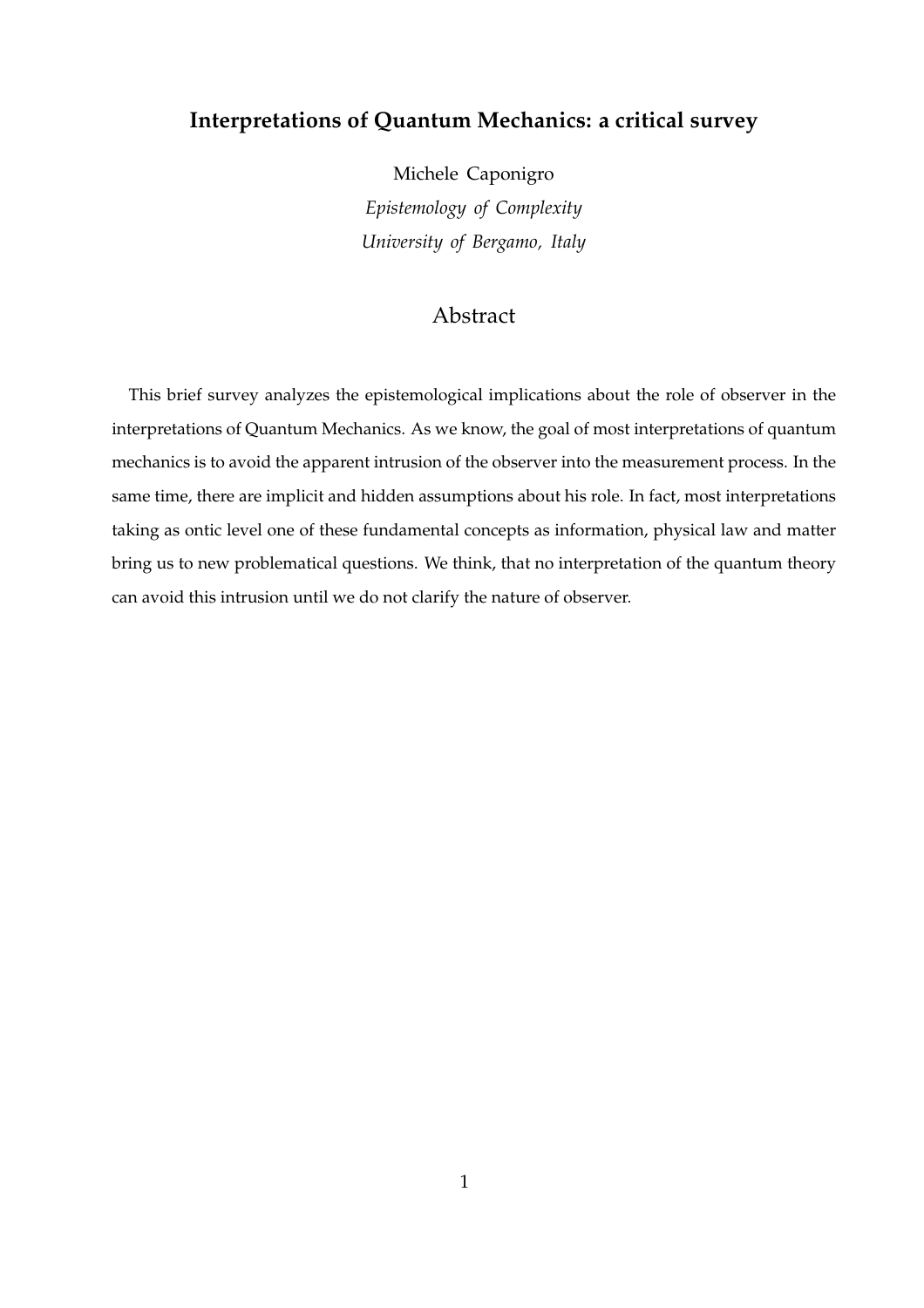# **Interpretations of Quantum Mechanics: a critical survey**

Michele Caponigro *Epistemology of Complexity University of Bergamo, Italy*

# Abstract

This brief survey analyzes the epistemological implications about the role of observer in the interpretations of Quantum Mechanics. As we know, the goal of most interpretations of quantum mechanics is to avoid the apparent intrusion of the observer into the measurement process. In the same time, there are implicit and hidden assumptions about his role. In fact, most interpretations taking as ontic level one of these fundamental concepts as information, physical law and matter bring us to new problematical questions. We think, that no interpretation of the quantum theory can avoid this intrusion until we do not clarify the nature of observer.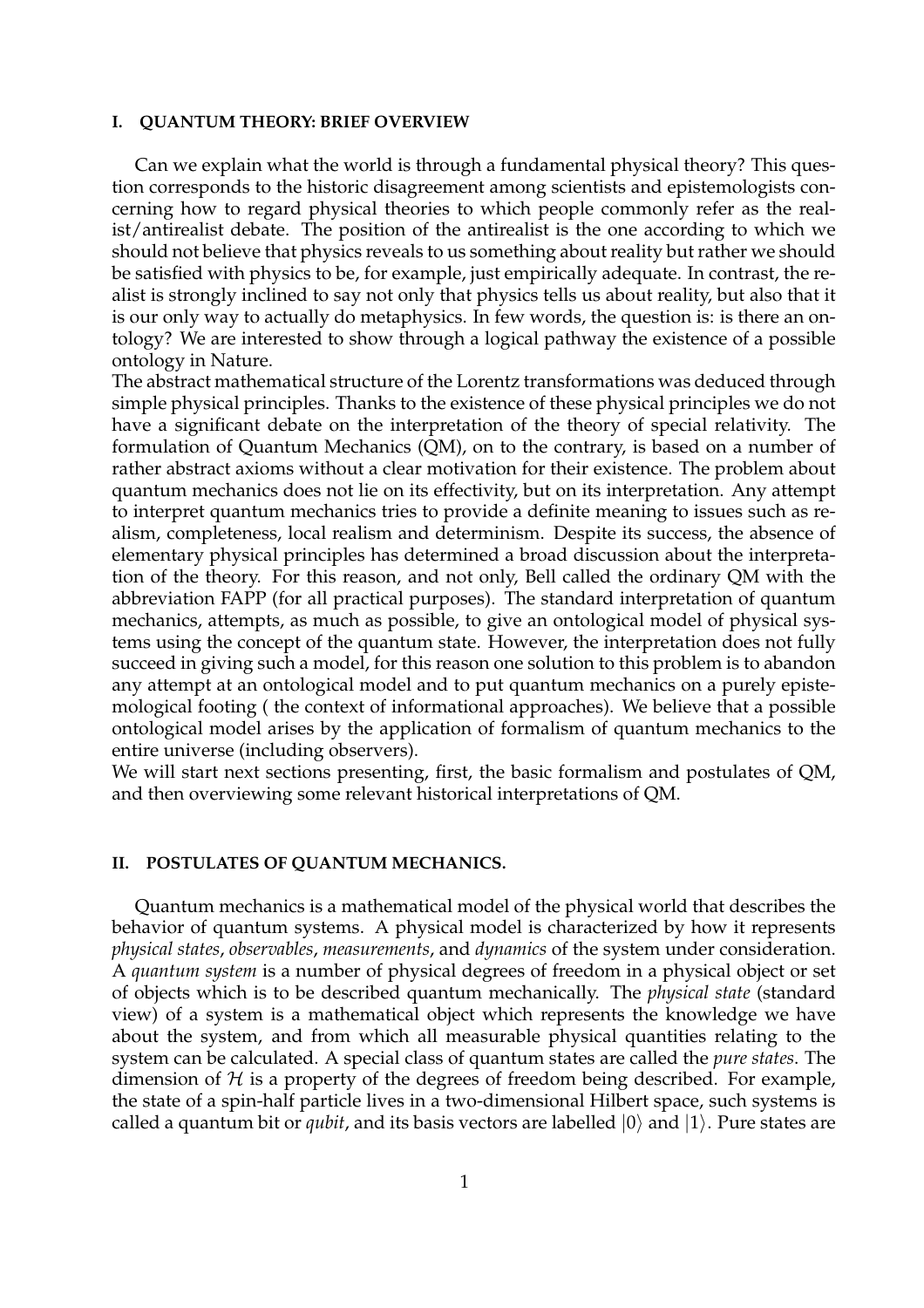#### **I. QUANTUM THEORY: BRIEF OVERVIEW**

Can we explain what the world is through a fundamental physical theory? This question corresponds to the historic disagreement among scientists and epistemologists concerning how to regard physical theories to which people commonly refer as the realist/antirealist debate. The position of the antirealist is the one according to which we should not believe that physics reveals to us something about reality but rather we should be satisfied with physics to be, for example, just empirically adequate. In contrast, the realist is strongly inclined to say not only that physics tells us about reality, but also that it is our only way to actually do metaphysics. In few words, the question is: is there an ontology? We are interested to show through a logical pathway the existence of a possible ontology in Nature.

The abstract mathematical structure of the Lorentz transformations was deduced through simple physical principles. Thanks to the existence of these physical principles we do not have a significant debate on the interpretation of the theory of special relativity. The formulation of Quantum Mechanics (QM), on to the contrary, is based on a number of rather abstract axioms without a clear motivation for their existence. The problem about quantum mechanics does not lie on its effectivity, but on its interpretation. Any attempt to interpret quantum mechanics tries to provide a definite meaning to issues such as realism, completeness, local realism and determinism. Despite its success, the absence of elementary physical principles has determined a broad discussion about the interpretation of the theory. For this reason, and not only, Bell called the ordinary QM with the abbreviation FAPP (for all practical purposes). The standard interpretation of quantum mechanics, attempts, as much as possible, to give an ontological model of physical systems using the concept of the quantum state. However, the interpretation does not fully succeed in giving such a model, for this reason one solution to this problem is to abandon any attempt at an ontological model and to put quantum mechanics on a purely epistemological footing ( the context of informational approaches). We believe that a possible ontological model arises by the application of formalism of quantum mechanics to the entire universe (including observers).

We will start next sections presenting, first, the basic formalism and postulates of QM, and then overviewing some relevant historical interpretations of QM.

#### **II. POSTULATES OF QUANTUM MECHANICS.**

Quantum mechanics is a mathematical model of the physical world that describes the behavior of quantum systems. A physical model is characterized by how it represents *physical states*, *observables*, *measurements*, and *dynamics* of the system under consideration. A *quantum system* is a number of physical degrees of freedom in a physical object or set of objects which is to be described quantum mechanically. The *physical state* (standard view) of a system is a mathematical object which represents the knowledge we have about the system, and from which all measurable physical quantities relating to the system can be calculated. A special class of quantum states are called the *pure states*. The dimension of  $H$  is a property of the degrees of freedom being described. For example, the state of a spin-half particle lives in a two-dimensional Hilbert space, such systems is called a quantum bit or *qubit*, and its basis vectors are labelled  $|0\rangle$  and  $|1\rangle$ . Pure states are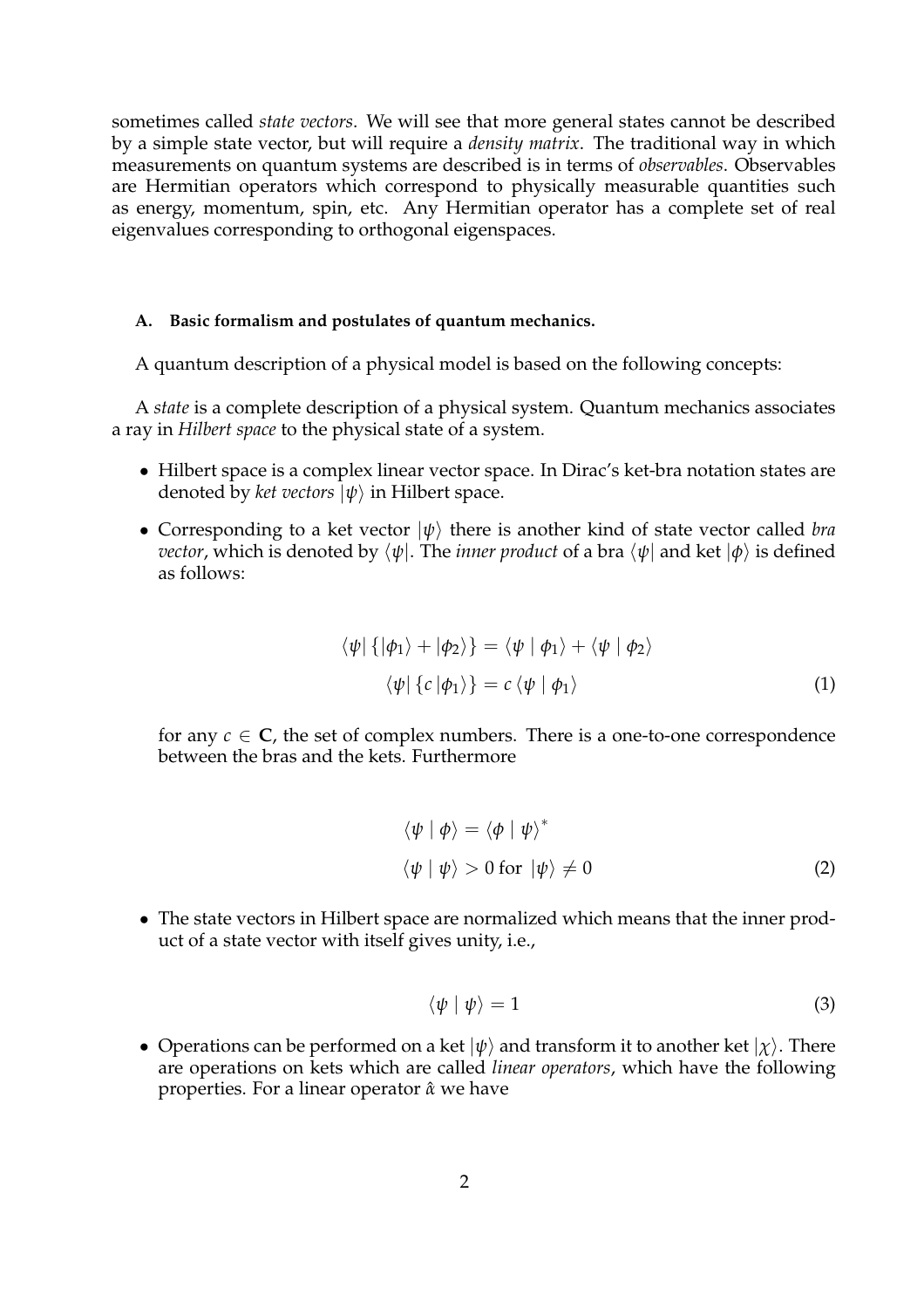sometimes called *state vectors*. We will see that more general states cannot be described by a simple state vector, but will require a *density matrix*. The traditional way in which measurements on quantum systems are described is in terms of *observables*. Observables are Hermitian operators which correspond to physically measurable quantities such as energy, momentum, spin, etc. Any Hermitian operator has a complete set of real eigenvalues corresponding to orthogonal eigenspaces.

# **A. Basic formalism and postulates of quantum mechanics.**

A quantum description of a physical model is based on the following concepts:

A *state* is a complete description of a physical system. Quantum mechanics associates a ray in *Hilbert space* to the physical state of a system.

- Hilbert space is a complex linear vector space. In Dirac's ket-bra notation states are denoted by *ket vectors*  $|\psi\rangle$  in Hilbert space.
- Corresponding to a ket vector  $|\psi\rangle$  there is another kind of state vector called *bra vector*, which is denoted by  $\langle \psi |$ . The *inner product* of a bra  $\langle \psi |$  and ket  $| \phi \rangle$  is defined as follows:

$$
\langle \psi | \{ | \phi_1 \rangle + | \phi_2 \rangle \} = \langle \psi | \phi_1 \rangle + \langle \psi | \phi_2 \rangle
$$
  

$$
\langle \psi | \{ c | \phi_1 \rangle \} = c \langle \psi | \phi_1 \rangle
$$
 (1)

for any  $c \in \mathbb{C}$ , the set of complex numbers. There is a one-to-one correspondence between the bras and the kets. Furthermore

$$
\langle \psi | \phi \rangle = \langle \phi | \psi \rangle^*
$$
  

$$
\langle \psi | \psi \rangle > 0 \text{ for } |\psi \rangle \neq 0
$$
 (2)

• The state vectors in Hilbert space are normalized which means that the inner product of a state vector with itself gives unity, i.e.,

$$
\langle \psi | \psi \rangle = 1 \tag{3}
$$

• Operations can be performed on a ket  $|\psi\rangle$  and transform it to another ket  $|\chi\rangle$ . There are operations on kets which are called *linear operators*, which have the following properties. For a linear operator *α*ˆ we have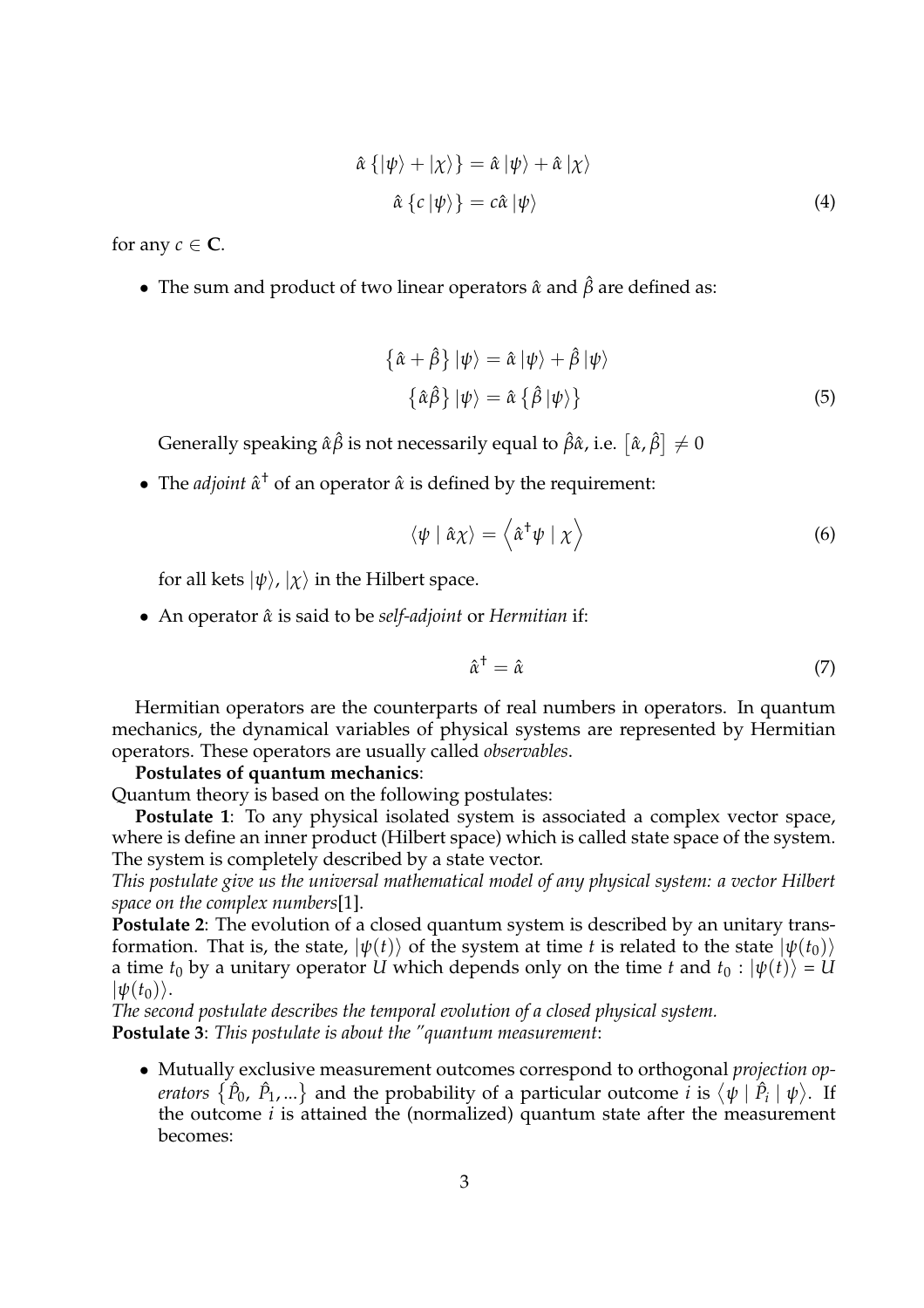$$
\hat{\alpha} \{ |\psi\rangle + |\chi\rangle \} = \hat{\alpha} |\psi\rangle + \hat{\alpha} |\chi\rangle
$$
  

$$
\hat{\alpha} \{ c | \psi \rangle \} = c \hat{\alpha} |\psi\rangle
$$
 (4)

for any  $c \in \mathbb{C}$ .

• The sum and product of two linear operators  $\hat{\alpha}$  and  $\hat{\beta}$  are defined as:

$$
\{\hat{\alpha} + \hat{\beta}\} |\psi\rangle = \hat{\alpha} |\psi\rangle + \hat{\beta} |\psi\rangle
$$
  

$$
\{\hat{\alpha}\hat{\beta}\} |\psi\rangle = \hat{\alpha} \{\hat{\beta} |\psi\rangle\}
$$
 (5)

Generally speaking  $\hat{\alpha} \hat{\beta}$  is not necessarily equal to  $\hat{\beta} \hat{\alpha}$ , i.e.  $[\hat{\alpha}, \hat{\beta}]$  $\neq 0$ 

• The *adjoint*  $\hat{\alpha}^{\dagger}$  of an operator  $\hat{\alpha}$  is defined by the requirement:

$$
\langle \psi \mid \hat{\alpha} \chi \rangle = \left\langle \hat{\alpha}^{\dagger} \psi \mid \chi \right\rangle \tag{6}
$$

for all kets  $|\psi\rangle$ ,  $|\chi\rangle$  in the Hilbert space.

• An operator *α*ˆ is said to be *self-adjoint* or *Hermitian* if:

$$
\hat{\alpha}^{\dagger} = \hat{\alpha} \tag{7}
$$

Hermitian operators are the counterparts of real numbers in operators. In quantum mechanics, the dynamical variables of physical systems are represented by Hermitian operators. These operators are usually called *observables*.

# **Postulates of quantum mechanics**:

Quantum theory is based on the following postulates:

**Postulate 1**: To any physical isolated system is associated a complex vector space, where is define an inner product (Hilbert space) which is called state space of the system. The system is completely described by a state vector.

*This postulate give us the universal mathematical model of any physical system: a vector Hilbert space on the complex numbers*[1].

**Postulate 2**: The evolution of a closed quantum system is described by an unitary transformation. That is, the state,  $|\psi(t)\rangle$  of the system at time *t* is related to the state  $|\psi(t_0)\rangle$ a time  $t_0$  by a unitary operator *U* which depends only on the time *t* and  $t_0$  :  $|\psi(t)\rangle = U$  $|\psi(t_0)\rangle$ .

*The second postulate describes the temporal evolution of a closed physical system.* **Postulate 3**: *This postulate is about the "quantum measurement*:

• Mutually exclusive measurement outcomes correspond to orthogonal *projection operators*  $\{\hat{P}_0, \hat{P}_1, ...\}$  and the probability of a particular outcome *i* is  $\langle \psi | \hat{P}_i | \psi \rangle$ . If the outcome *i* is attained the (normalized) quantum state after the measurement becomes: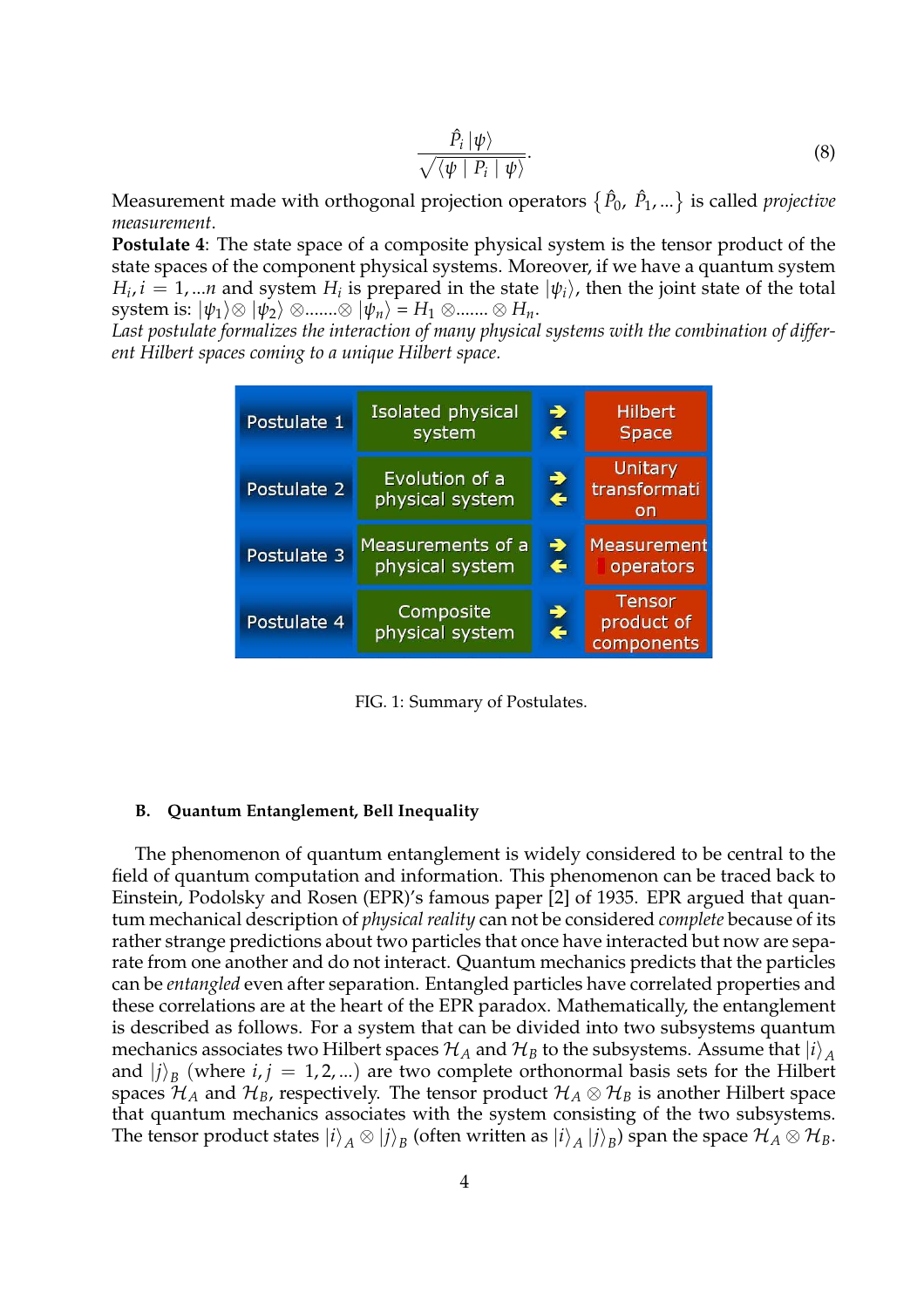$$
\frac{\hat{P}_i \left| \psi \right\rangle}{\sqrt{\langle \psi \left| P_i \left| \psi \right\rangle}}.
$$
\n(8)

Measurement made with orthogonal projection operators © *P*ˆ <sup>0</sup>, *P*ˆ 1, ...<sup>ª</sup> is called *projective measurement*.

**Postulate 4**: The state space of a composite physical system is the tensor product of the state spaces of the component physical systems. Moreover, if we have a quantum system *H*<sub>*i*</sub>, *i* = 1, ...*n* and system *H*<sub>*i*</sub> is prepared in the state  $|\psi_i\rangle$ , then the joint state of the total system is:  $|\psi_1\rangle \otimes |\psi_2\rangle \otimes ...... \otimes |\psi_n\rangle = H_1 \otimes ...... \otimes H_n$ .

*Last postulate formalizes the interaction of many physical systems with the combination of different Hilbert spaces coming to a unique Hilbert space.*

| Postulate 1 | Isolated physical                 | ♣                             | <b>Hilbert</b>                            |
|-------------|-----------------------------------|-------------------------------|-------------------------------------------|
|             | system                            | $\leftarrow$                  | <b>Space</b>                              |
| Postulate 2 | Evolution of a<br>physical system | →<br>$\leftarrow$             | Unitary<br>transformati<br>on             |
| Postulate 3 | Measurements of a                 | $\rightarrow$                 | <b>Measurement</b>                        |
|             | physical system                   | $\leftarrow$                  | operators                                 |
| Postulate 4 | Composite<br>physical system      | $\rightarrow$<br>$\leftarrow$ | <b>Tensor</b><br>product of<br>components |

FIG. 1: Summary of Postulates.

#### **B. Quantum Entanglement, Bell Inequality**

The phenomenon of quantum entanglement is widely considered to be central to the field of quantum computation and information. This phenomenon can be traced back to Einstein, Podolsky and Rosen (EPR)'s famous paper [2] of 1935. EPR argued that quantum mechanical description of *physical reality* can not be considered *complete* because of its rather strange predictions about two particles that once have interacted but now are separate from one another and do not interact. Quantum mechanics predicts that the particles can be *entangled* even after separation. Entangled particles have correlated properties and these correlations are at the heart of the EPR paradox. Mathematically, the entanglement is described as follows. For a system that can be divided into two subsystems quantum mechanics associates two Hilbert spaces  $\mathcal{H}_A$  and  $\mathcal{H}_B$  to the subsystems. Assume that  $|i\rangle_A$ and  $|j\rangle_B$  (where  $i, j = 1, 2, ...$ ) are two complete orthonormal basis sets for the Hilbert spaces  $\mathcal{H}_A$  and  $\mathcal{H}_B$ , respectively. The tensor product  $\mathcal{H}_A \otimes \mathcal{H}_B$  is another Hilbert space that quantum mechanics associates with the system consisting of the two subsystems. The tensor product states  $|i\rangle_{A}\otimes |j\rangle_{B}$  (often written as  $|i\rangle_{A}\ket{j}_{B}$ ) span the space  $\mathcal{H}_{A}\otimes\mathcal{H}_{B}.$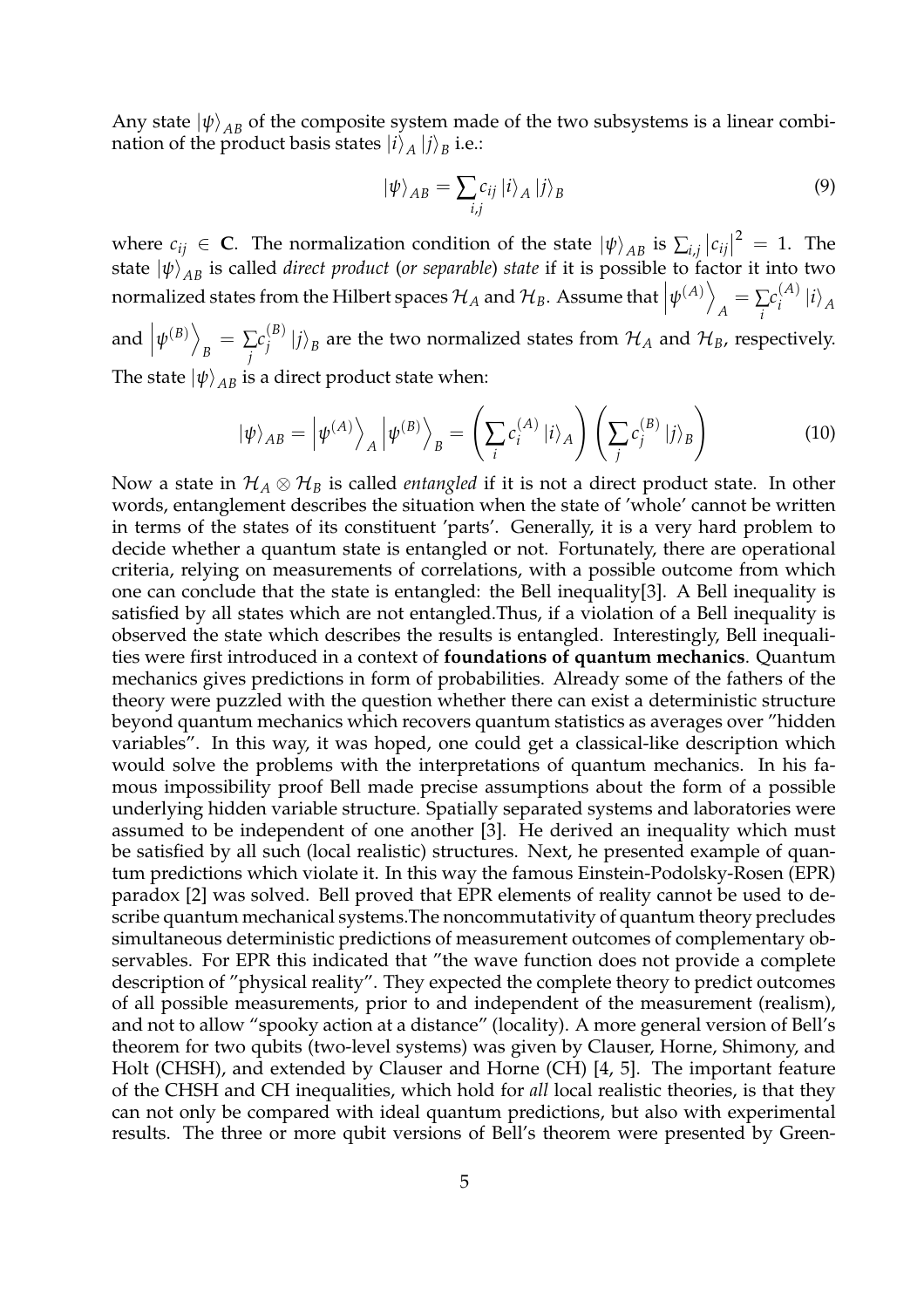Any state  $|\psi\rangle_{AB}$  of the composite system made of the two subsystems is a linear combination of the product basis states  $|i\rangle_{A}\ket{j}_{B}$  i.e.:

$$
\left|\psi\right\rangle_{AB} = \sum_{i,j} c_{ij} \left|i\right\rangle_A \left|j\right\rangle_B \tag{9}
$$

where  $c_{ij} \in \mathbf{C}$ . The normalization condition of the state  $|\psi\rangle_{AB}$  is  $\sum_{i,j}$  $|c_{ij}|^2 = 1$ . The state  $|\psi\rangle_{AB}$  is called *direct product* (*or separable*) *state* if it is possible to factor it into two normalized states from the Hilbert spaces  $\mathcal{H}_A$  and  $\mathcal{H}_B$ . Assume that  $\left|\psi^{(A)}\right|$  $A = \sum_i$ *i*  $c_i^{(A)}$  $\binom{A}{i}$   $|i\rangle_A$  $\psi^{(B)}$ E

and  $B = \sum_i$ *j*  $c_i^{(B)}$  $\mathcal{H}_j^{(B)}\ket{j}_B$  are the two normalized states from  $\mathcal{H}_A$  and  $\mathcal{H}_B$ , respectively. The state  $|\psi\rangle_{AB}$  is a direct product state when:

$$
|\psi\rangle_{AB} = |\psi^{(A)}\rangle_A |\psi^{(B)}\rangle_B = \left(\sum_i c_i^{(A)} |i\rangle_A\right) \left(\sum_j c_j^{(B)} |j\rangle_B\right)
$$
(10)

Now a state in  $\mathcal{H}_A \otimes \mathcal{H}_B$  is called *entangled* if it is not a direct product state. In other words, entanglement describes the situation when the state of 'whole' cannot be written in terms of the states of its constituent 'parts'. Generally, it is a very hard problem to decide whether a quantum state is entangled or not. Fortunately, there are operational criteria, relying on measurements of correlations, with a possible outcome from which one can conclude that the state is entangled: the Bell inequality[3]. A Bell inequality is satisfied by all states which are not entangled.Thus, if a violation of a Bell inequality is observed the state which describes the results is entangled. Interestingly, Bell inequalities were first introduced in a context of **foundations of quantum mechanics**. Quantum mechanics gives predictions in form of probabilities. Already some of the fathers of the theory were puzzled with the question whether there can exist a deterministic structure beyond quantum mechanics which recovers quantum statistics as averages over "hidden variables". In this way, it was hoped, one could get a classical-like description which would solve the problems with the interpretations of quantum mechanics. In his famous impossibility proof Bell made precise assumptions about the form of a possible underlying hidden variable structure. Spatially separated systems and laboratories were assumed to be independent of one another [3]. He derived an inequality which must be satisfied by all such (local realistic) structures. Next, he presented example of quantum predictions which violate it. In this way the famous Einstein-Podolsky-Rosen (EPR) paradox [2] was solved. Bell proved that EPR elements of reality cannot be used to describe quantum mechanical systems.The noncommutativity of quantum theory precludes simultaneous deterministic predictions of measurement outcomes of complementary observables. For EPR this indicated that "the wave function does not provide a complete description of "physical reality". They expected the complete theory to predict outcomes of all possible measurements, prior to and independent of the measurement (realism), and not to allow "spooky action at a distance" (locality). A more general version of Bell's theorem for two qubits (two-level systems) was given by Clauser, Horne, Shimony, and Holt (CHSH), and extended by Clauser and Horne (CH) [4, 5]. The important feature of the CHSH and CH inequalities, which hold for *all* local realistic theories, is that they can not only be compared with ideal quantum predictions, but also with experimental results. The three or more qubit versions of Bell's theorem were presented by Green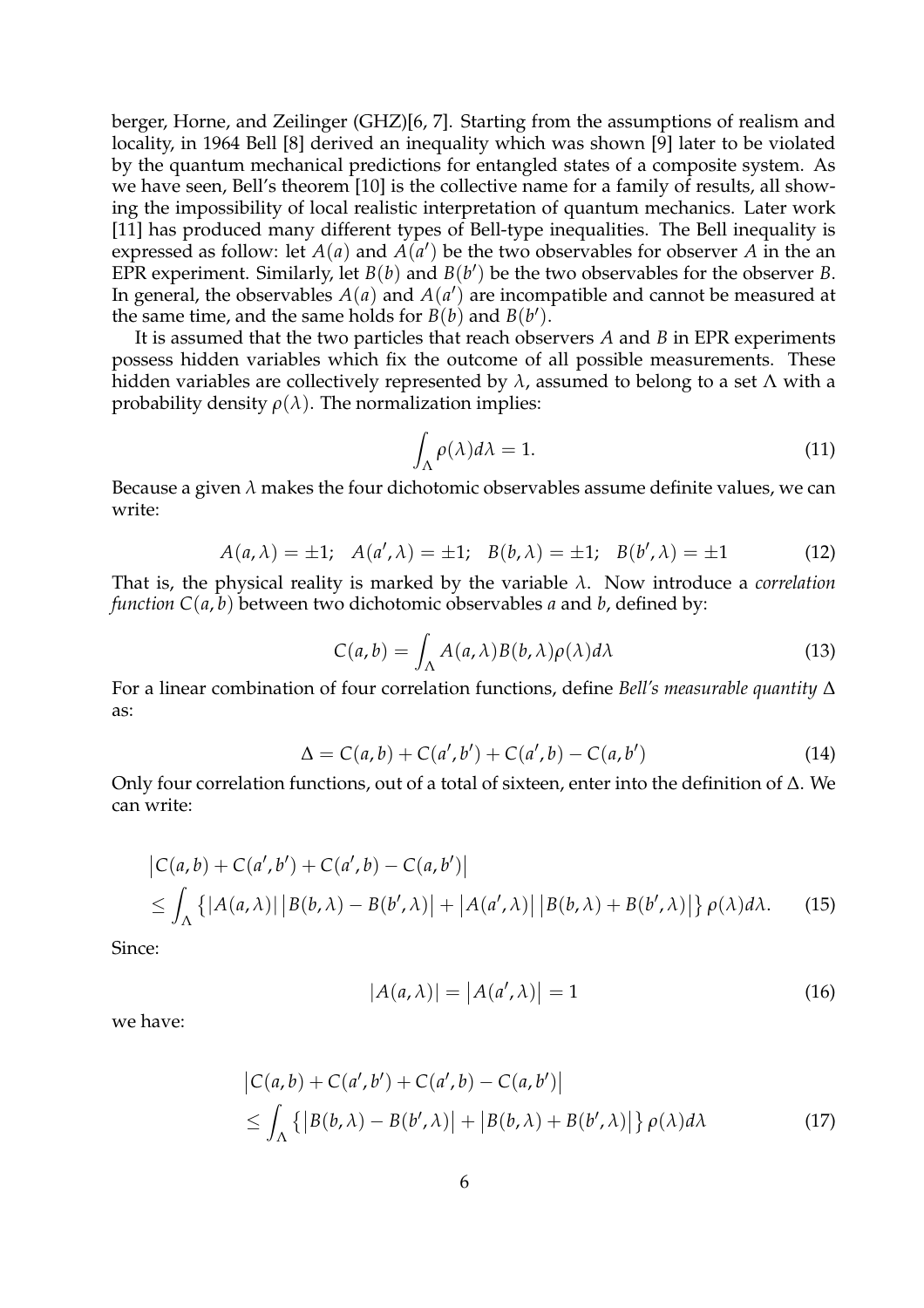berger, Horne, and Zeilinger (GHZ)[6, 7]. Starting from the assumptions of realism and locality, in 1964 Bell [8] derived an inequality which was shown [9] later to be violated by the quantum mechanical predictions for entangled states of a composite system. As we have seen, Bell's theorem [10] is the collective name for a family of results, all showing the impossibility of local realistic interpretation of quantum mechanics. Later work [11] has produced many different types of Bell-type inequalities. The Bell inequality is expressed as follow: let  $A(a)$  and  $A(a')$  be the two observables for observer A in the an EPR experiment. Similarly, let  $B(b)$  and  $B(b')$  be the two observables for the observer *B*. In general, the observables  $A(a)$  and  $A(a')$  are incompatible and cannot be measured at the same time, and the same holds for  $B(b)$  and  $B(b')$ .

It is assumed that the two particles that reach observers *A* and *B* in EPR experiments possess hidden variables which fix the outcome of all possible measurements. These hidden variables are collectively represented by *λ*, assumed to belong to a set Λ with a probability density  $\rho(\lambda)$ . The normalization implies:

$$
\int_{\Lambda} \rho(\lambda) d\lambda = 1. \tag{11}
$$

Because a given  $\lambda$  makes the four dichotomic observables assume definite values, we can write:

$$
A(a, \lambda) = \pm 1; \quad A(a', \lambda) = \pm 1; \quad B(b, \lambda) = \pm 1; \quad B(b', \lambda) = \pm 1
$$
 (12)

That is, the physical reality is marked by the variable *λ*. Now introduce a *correlation function*  $C(a, b)$  between two dichotomic observables *a* and *b*, defined by:

$$
C(a,b) = \int_{\Lambda} A(a,\lambda)B(b,\lambda)\rho(\lambda)d\lambda
$$
 (13)

For a linear combination of four correlation functions, define *Bell's measurable quantity* ∆ as:

$$
\Delta = C(a, b) + C(a', b') + C(a', b) - C(a, b')
$$
\n(14)

Only four correlation functions, out of a total of sixteen, enter into the definition of ∆. We can write:

$$
\begin{aligned} \left| C(a,b) + C(a',b') + C(a',b) - C(a,b') \right| \\ &\leq \int_{\Lambda} \left\{ \left| A(a,\lambda) \right| \left| B(b,\lambda) - B(b',\lambda) \right| + \left| A(a',\lambda) \right| \left| B(b,\lambda) + B(b',\lambda) \right| \right\} \rho(\lambda) d\lambda. \end{aligned} \tag{15}
$$

Since:

$$
|A(a,\lambda)| = |A(a',\lambda)| = 1
$$
\n(16)

we have:

$$
\begin{aligned} \left| C(a,b) + C(a',b') + C(a',b) - C(a,b') \right| \\ &\leq \int_{\Lambda} \left\{ \left| B(b,\lambda) - B(b',\lambda) \right| + \left| B(b,\lambda) + B(b',\lambda) \right| \right\} \rho(\lambda) d\lambda \end{aligned} \tag{17}
$$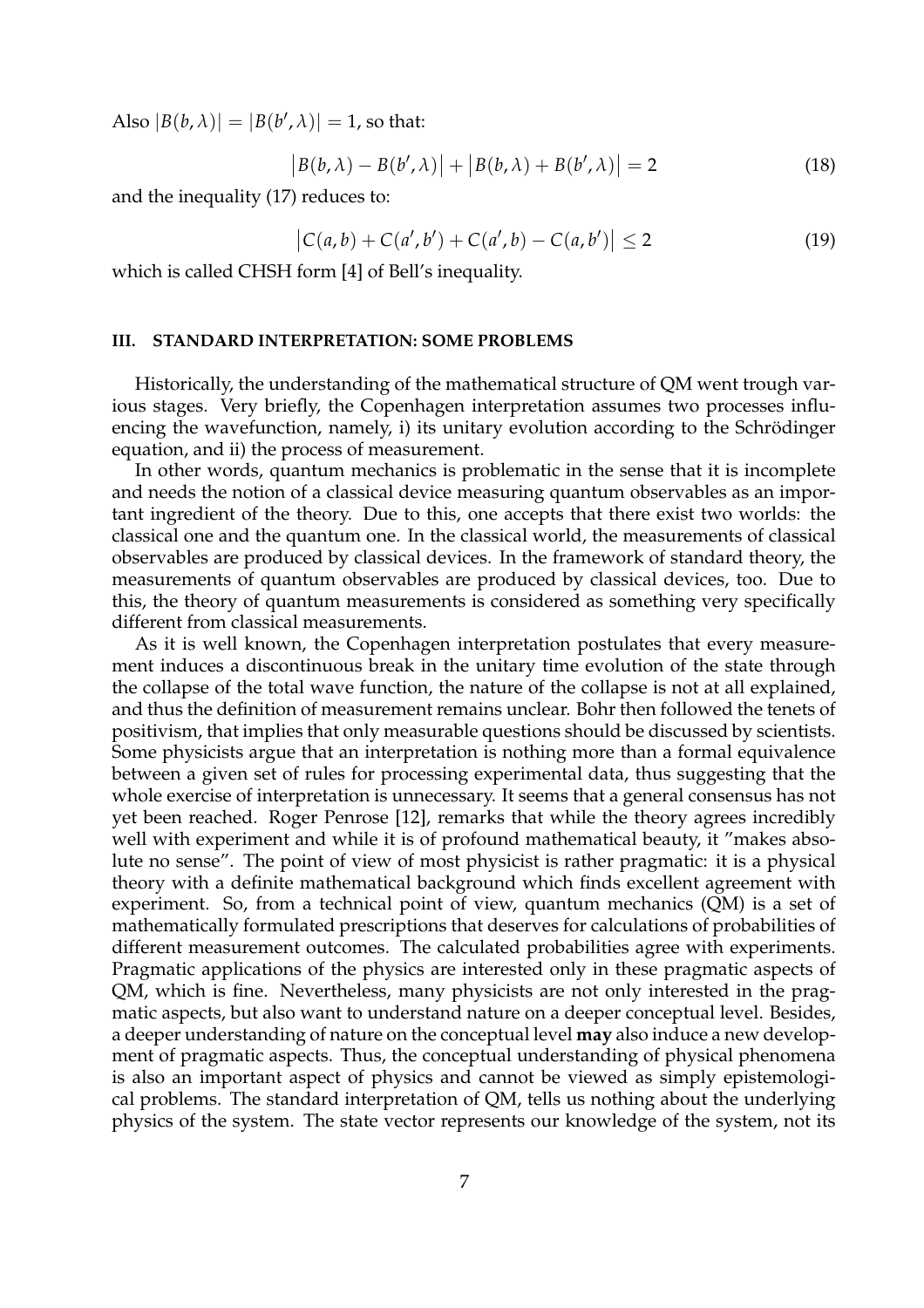Also  $|B(b, \lambda)| = |B(b', \lambda)| = 1$ , so that:

$$
|B(b,\lambda) - B(b',\lambda)| + |B(b,\lambda) + B(b',\lambda)| = 2
$$
 (18)

and the inequality (17) reduces to:

$$
|C(a,b) + C(a',b') + C(a',b) - C(a,b')| \le 2
$$
 (19)

which is called CHSH form [4] of Bell's inequality.

#### **III. STANDARD INTERPRETATION: SOME PROBLEMS**

Historically, the understanding of the mathematical structure of QM went trough various stages. Very briefly, the Copenhagen interpretation assumes two processes influencing the wavefunction, namely, i) its unitary evolution according to the Schrödinger equation, and ii) the process of measurement.

In other words, quantum mechanics is problematic in the sense that it is incomplete and needs the notion of a classical device measuring quantum observables as an important ingredient of the theory. Due to this, one accepts that there exist two worlds: the classical one and the quantum one. In the classical world, the measurements of classical observables are produced by classical devices. In the framework of standard theory, the measurements of quantum observables are produced by classical devices, too. Due to this, the theory of quantum measurements is considered as something very specifically different from classical measurements.

As it is well known, the Copenhagen interpretation postulates that every measurement induces a discontinuous break in the unitary time evolution of the state through the collapse of the total wave function, the nature of the collapse is not at all explained, and thus the definition of measurement remains unclear. Bohr then followed the tenets of positivism, that implies that only measurable questions should be discussed by scientists. Some physicists argue that an interpretation is nothing more than a formal equivalence between a given set of rules for processing experimental data, thus suggesting that the whole exercise of interpretation is unnecessary. It seems that a general consensus has not yet been reached. Roger Penrose [12], remarks that while the theory agrees incredibly well with experiment and while it is of profound mathematical beauty, it "makes absolute no sense". The point of view of most physicist is rather pragmatic: it is a physical theory with a definite mathematical background which finds excellent agreement with experiment. So, from a technical point of view, quantum mechanics (QM) is a set of mathematically formulated prescriptions that deserves for calculations of probabilities of different measurement outcomes. The calculated probabilities agree with experiments. Pragmatic applications of the physics are interested only in these pragmatic aspects of QM, which is fine. Nevertheless, many physicists are not only interested in the pragmatic aspects, but also want to understand nature on a deeper conceptual level. Besides, a deeper understanding of nature on the conceptual level **may** also induce a new development of pragmatic aspects. Thus, the conceptual understanding of physical phenomena is also an important aspect of physics and cannot be viewed as simply epistemological problems. The standard interpretation of QM, tells us nothing about the underlying physics of the system. The state vector represents our knowledge of the system, not its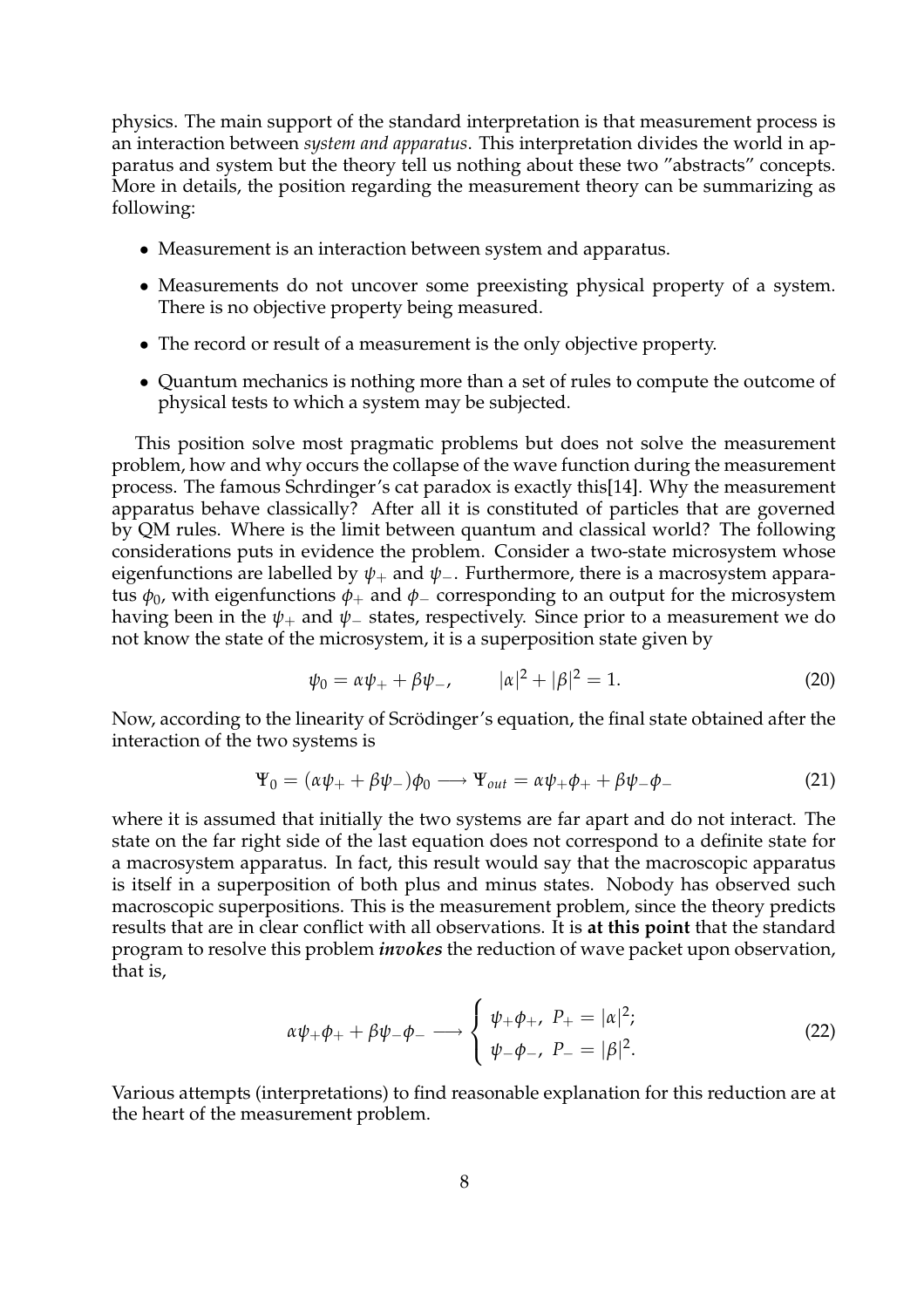physics. The main support of the standard interpretation is that measurement process is an interaction between *system and apparatus*. This interpretation divides the world in apparatus and system but the theory tell us nothing about these two "abstracts" concepts. More in details, the position regarding the measurement theory can be summarizing as following:

- Measurement is an interaction between system and apparatus.
- Measurements do not uncover some preexisting physical property of a system. There is no objective property being measured.
- The record or result of a measurement is the only objective property.
- Quantum mechanics is nothing more than a set of rules to compute the outcome of physical tests to which a system may be subjected.

This position solve most pragmatic problems but does not solve the measurement problem, how and why occurs the collapse of the wave function during the measurement process. The famous Schrdinger's cat paradox is exactly this[14]. Why the measurement apparatus behave classically? After all it is constituted of particles that are governed by QM rules. Where is the limit between quantum and classical world? The following considerations puts in evidence the problem. Consider a two-state microsystem whose eigenfunctions are labelled by  $\psi_+$  and  $\psi_-$ . Furthermore, there is a macrosystem apparatus  $φ_0$ , with eigenfunctions  $φ_+$  and  $φ_$  corresponding to an output for the microsystem having been in the  $\psi_+$  and  $\psi_-$  states, respectively. Since prior to a measurement we do not know the state of the microsystem, it is a superposition state given by

$$
\psi_0 = \alpha \psi_+ + \beta \psi_-, \qquad |\alpha|^2 + |\beta|^2 = 1. \tag{20}
$$

Now, according to the linearity of Scrödinger's equation, the final state obtained after the interaction of the two systems is

$$
\Psi_0 = (\alpha \psi_+ + \beta \psi_-)\phi_0 \longrightarrow \Psi_{out} = \alpha \psi_+ \phi_+ + \beta \psi_- \phi_- \tag{21}
$$

where it is assumed that initially the two systems are far apart and do not interact. The state on the far right side of the last equation does not correspond to a definite state for a macrosystem apparatus. In fact, this result would say that the macroscopic apparatus is itself in a superposition of both plus and minus states. Nobody has observed such macroscopic superpositions. This is the measurement problem, since the theory predicts results that are in clear conflict with all observations. It is **at this point** that the standard program to resolve this problem *invokes* the reduction of wave packet upon observation, that is,

$$
\alpha \psi_{+} \phi_{+} + \beta \psi_{-} \phi_{-} \longrightarrow \begin{cases} \psi_{+} \phi_{+}, & P_{+} = |\alpha|^{2}; \\ \psi_{-} \phi_{-}, & P_{-} = |\beta|^{2}. \end{cases}
$$
 (22)

Various attempts (interpretations) to find reasonable explanation for this reduction are at the heart of the measurement problem.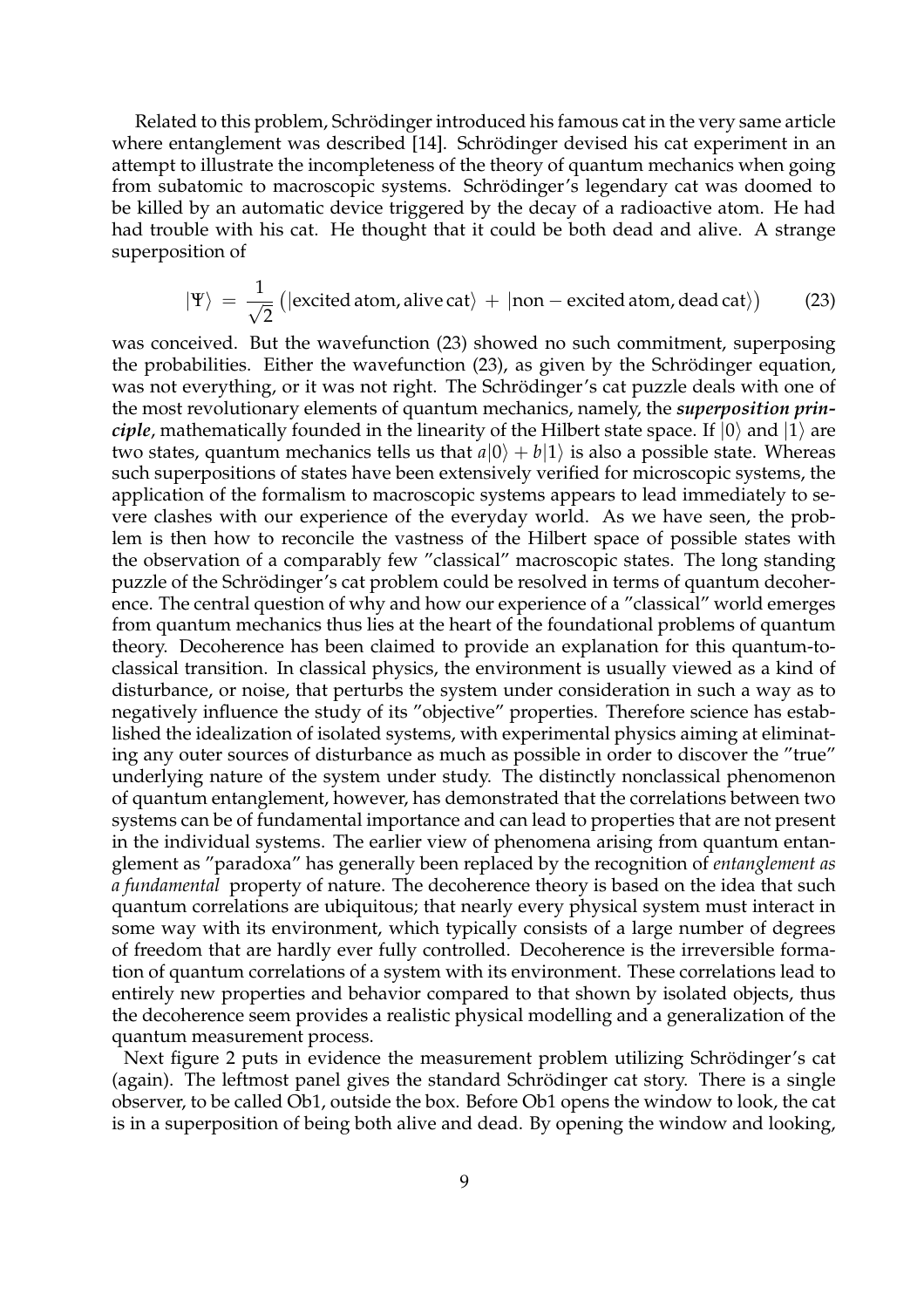Related to this problem, Schrödinger introduced his famous cat in the very same article where entanglement was described [14]. Schrödinger devised his cat experiment in an attempt to illustrate the incompleteness of the theory of quantum mechanics when going from subatomic to macroscopic systems. Schrödinger's legendary cat was doomed to be killed by an automatic device triggered by the decay of a radioactive atom. He had had trouble with his cat. He thought that it could be both dead and alive. A strange superposition of

$$
|\Psi\rangle = \frac{1}{\sqrt{2}} (|\text{excited atom}, \text{alive cat}\rangle + |\text{non}-\text{excited atom}, \text{dead cat}\rangle)
$$
 (23)

was conceived. But the wavefunction (23) showed no such commitment, superposing the probabilities. Either the wavefunction  $(23)$ , as given by the Schrödinger equation, was not everything, or it was not right. The Schrödinger's cat puzzle deals with one of the most revolutionary elements of quantum mechanics, namely, the *superposition principle*, mathematically founded in the linearity of the Hilbert state space. If  $|0\rangle$  and  $|1\rangle$  are two states, quantum mechanics tells us that  $a|0\rangle + b|1\rangle$  is also a possible state. Whereas such superpositions of states have been extensively verified for microscopic systems, the application of the formalism to macroscopic systems appears to lead immediately to severe clashes with our experience of the everyday world. As we have seen, the problem is then how to reconcile the vastness of the Hilbert space of possible states with the observation of a comparably few "classical" macroscopic states. The long standing puzzle of the Schrödinger's cat problem could be resolved in terms of quantum decoherence. The central question of why and how our experience of a "classical" world emerges from quantum mechanics thus lies at the heart of the foundational problems of quantum theory. Decoherence has been claimed to provide an explanation for this quantum-toclassical transition. In classical physics, the environment is usually viewed as a kind of disturbance, or noise, that perturbs the system under consideration in such a way as to negatively influence the study of its "objective" properties. Therefore science has established the idealization of isolated systems, with experimental physics aiming at eliminating any outer sources of disturbance as much as possible in order to discover the "true" underlying nature of the system under study. The distinctly nonclassical phenomenon of quantum entanglement, however, has demonstrated that the correlations between two systems can be of fundamental importance and can lead to properties that are not present in the individual systems. The earlier view of phenomena arising from quantum entanglement as "paradoxa" has generally been replaced by the recognition of *entanglement as a fundamental* property of nature. The decoherence theory is based on the idea that such quantum correlations are ubiquitous; that nearly every physical system must interact in some way with its environment, which typically consists of a large number of degrees of freedom that are hardly ever fully controlled. Decoherence is the irreversible formation of quantum correlations of a system with its environment. These correlations lead to entirely new properties and behavior compared to that shown by isolated objects, thus the decoherence seem provides a realistic physical modelling and a generalization of the quantum measurement process.

Next figure 2 puts in evidence the measurement problem utilizing Schrödinger's cat (again). The leftmost panel gives the standard Schrödinger cat story. There is a single observer, to be called Ob1, outside the box. Before Ob1 opens the window to look, the cat is in a superposition of being both alive and dead. By opening the window and looking,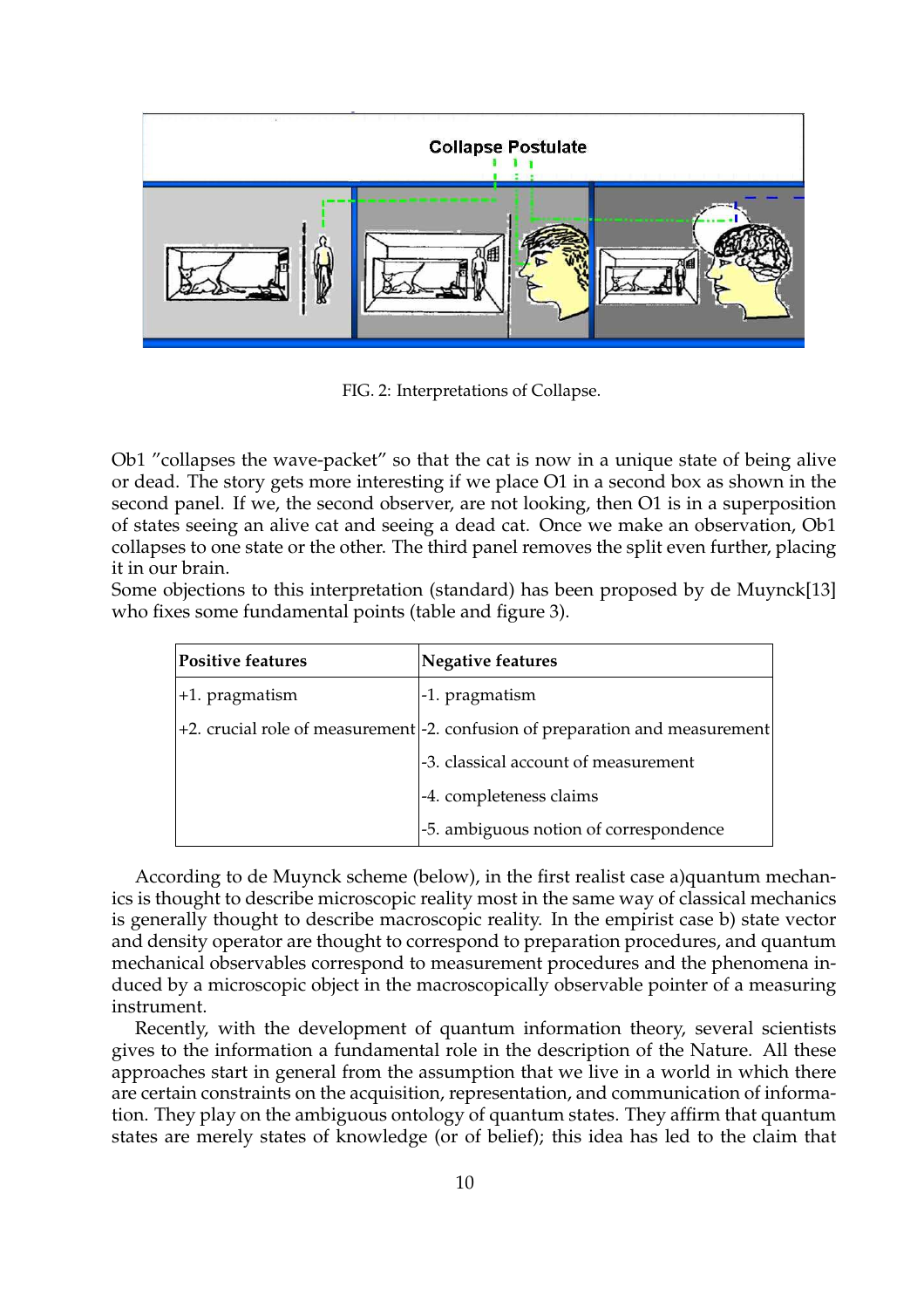

FIG. 2: Interpretations of Collapse.

Ob1 "collapses the wave-packet" so that the cat is now in a unique state of being alive or dead. The story gets more interesting if we place O1 in a second box as shown in the second panel. If we, the second observer, are not looking, then O1 is in a superposition of states seeing an alive cat and seeing a dead cat. Once we make an observation, Ob1 collapses to one state or the other. The third panel removes the split even further, placing it in our brain.

Some objections to this interpretation (standard) has been proposed by de Muynck[13] who fixes some fundamental points (table and figure 3).

| <b>Positive features</b> | <b>Negative features</b>                                                                    |
|--------------------------|---------------------------------------------------------------------------------------------|
| +1. pragmatism           | -1. pragmatism                                                                              |
|                          | $+2$ . crucial role of measurement $\frac{1}{2}$ . confusion of preparation and measurement |
|                          | -3. classical account of measurement                                                        |
|                          | -4. completeness claims                                                                     |
|                          | -5. ambiguous notion of correspondence                                                      |

According to de Muynck scheme (below), in the first realist case a)quantum mechanics is thought to describe microscopic reality most in the same way of classical mechanics is generally thought to describe macroscopic reality. In the empirist case b) state vector and density operator are thought to correspond to preparation procedures, and quantum mechanical observables correspond to measurement procedures and the phenomena induced by a microscopic object in the macroscopically observable pointer of a measuring instrument.

Recently, with the development of quantum information theory, several scientists gives to the information a fundamental role in the description of the Nature. All these approaches start in general from the assumption that we live in a world in which there are certain constraints on the acquisition, representation, and communication of information. They play on the ambiguous ontology of quantum states. They affirm that quantum states are merely states of knowledge (or of belief); this idea has led to the claim that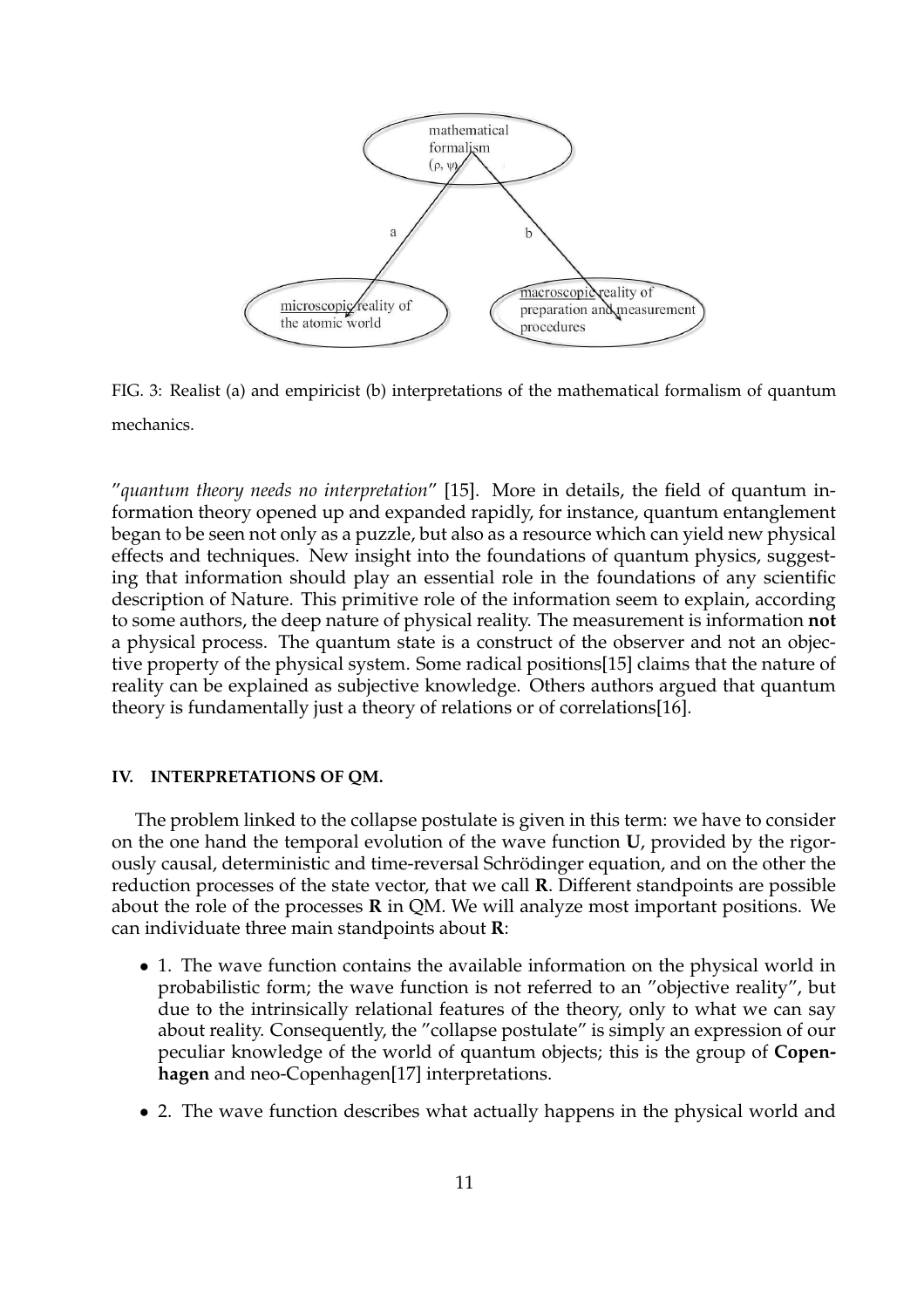

FIG. 3: Realist (a) and empiricist (b) interpretations of the mathematical formalism of quantum mechanics.

"*quantum theory needs no interpretation*" [15]. More in details, the field of quantum information theory opened up and expanded rapidly, for instance, quantum entanglement began to be seen not only as a puzzle, but also as a resource which can yield new physical effects and techniques. New insight into the foundations of quantum physics, suggesting that information should play an essential role in the foundations of any scientific description of Nature. This primitive role of the information seem to explain, according to some authors, the deep nature of physical reality. The measurement is information **not** a physical process. The quantum state is a construct of the observer and not an objective property of the physical system. Some radical positions[15] claims that the nature of reality can be explained as subjective knowledge. Others authors argued that quantum theory is fundamentally just a theory of relations or of correlations[16].

### **IV. INTERPRETATIONS OF QM.**

The problem linked to the collapse postulate is given in this term: we have to consider on the one hand the temporal evolution of the wave function **U**, provided by the rigorously causal, deterministic and time-reversal Schrödinger equation, and on the other the reduction processes of the state vector, that we call **R**. Different standpoints are possible about the role of the processes **R** in QM. We will analyze most important positions. We can individuate three main standpoints about **R**:

- 1. The wave function contains the available information on the physical world in probabilistic form; the wave function is not referred to an "objective reality", but due to the intrinsically relational features of the theory, only to what we can say about reality. Consequently, the "collapse postulate" is simply an expression of our peculiar knowledge of the world of quantum objects; this is the group of **Copenhagen** and neo-Copenhagen[17] interpretations.
- 2. The wave function describes what actually happens in the physical world and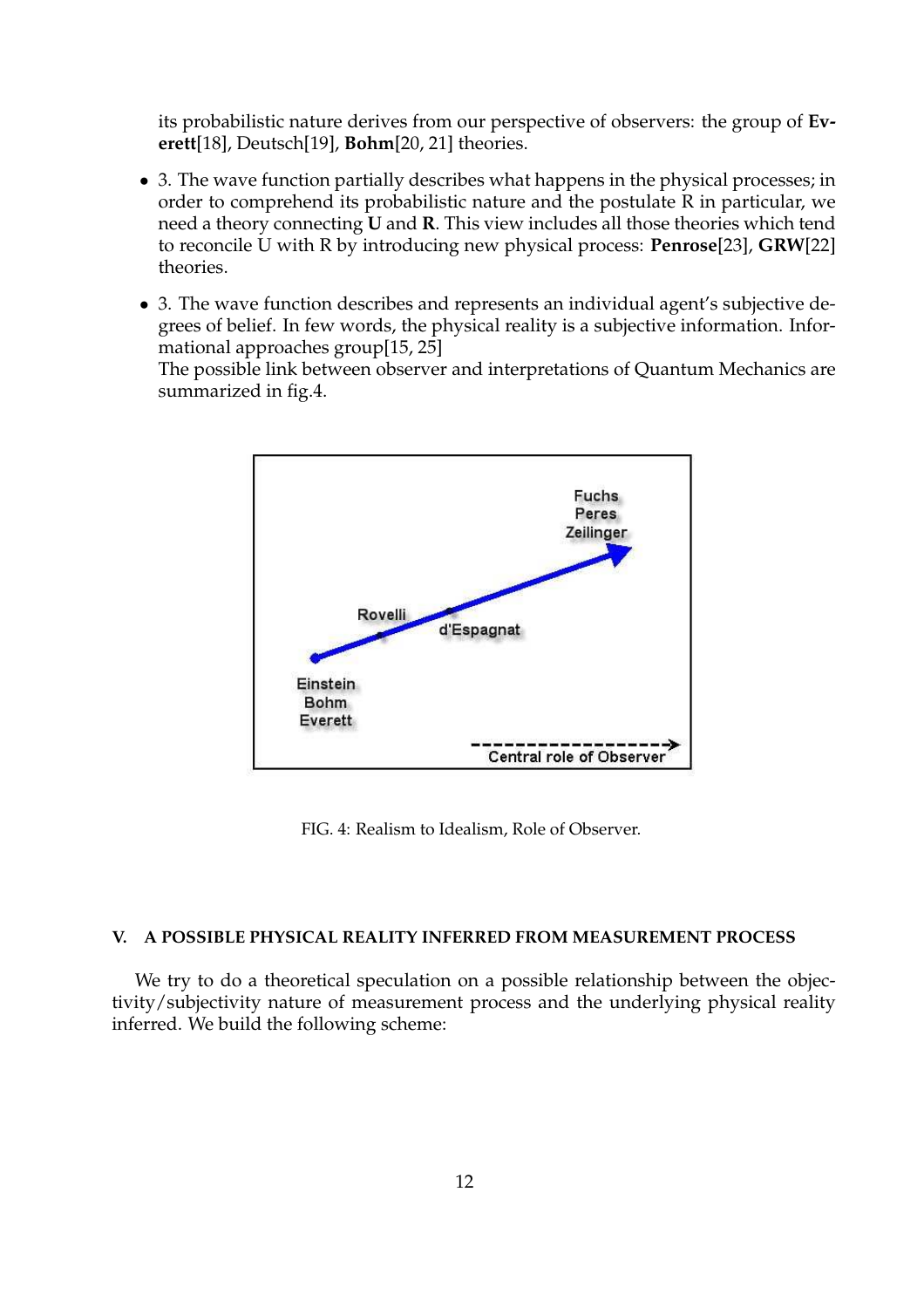its probabilistic nature derives from our perspective of observers: the group of **Everett**[18], Deutsch[19], **Bohm**[20, 21] theories.

- 3. The wave function partially describes what happens in the physical processes; in order to comprehend its probabilistic nature and the postulate R in particular, we need a theory connecting **U** and **R**. This view includes all those theories which tend to reconcile U with R by introducing new physical process: **Penrose**[23], **GRW**[22] theories.
- 3. The wave function describes and represents an individual agent's subjective degrees of belief. In few words, the physical reality is a subjective information. Informational approaches group[15, 25]

The possible link between observer and interpretations of Quantum Mechanics are summarized in fig.4.



FIG. 4: Realism to Idealism, Role of Observer.

#### **V. A POSSIBLE PHYSICAL REALITY INFERRED FROM MEASUREMENT PROCESS**

We try to do a theoretical speculation on a possible relationship between the objectivity/subjectivity nature of measurement process and the underlying physical reality inferred. We build the following scheme: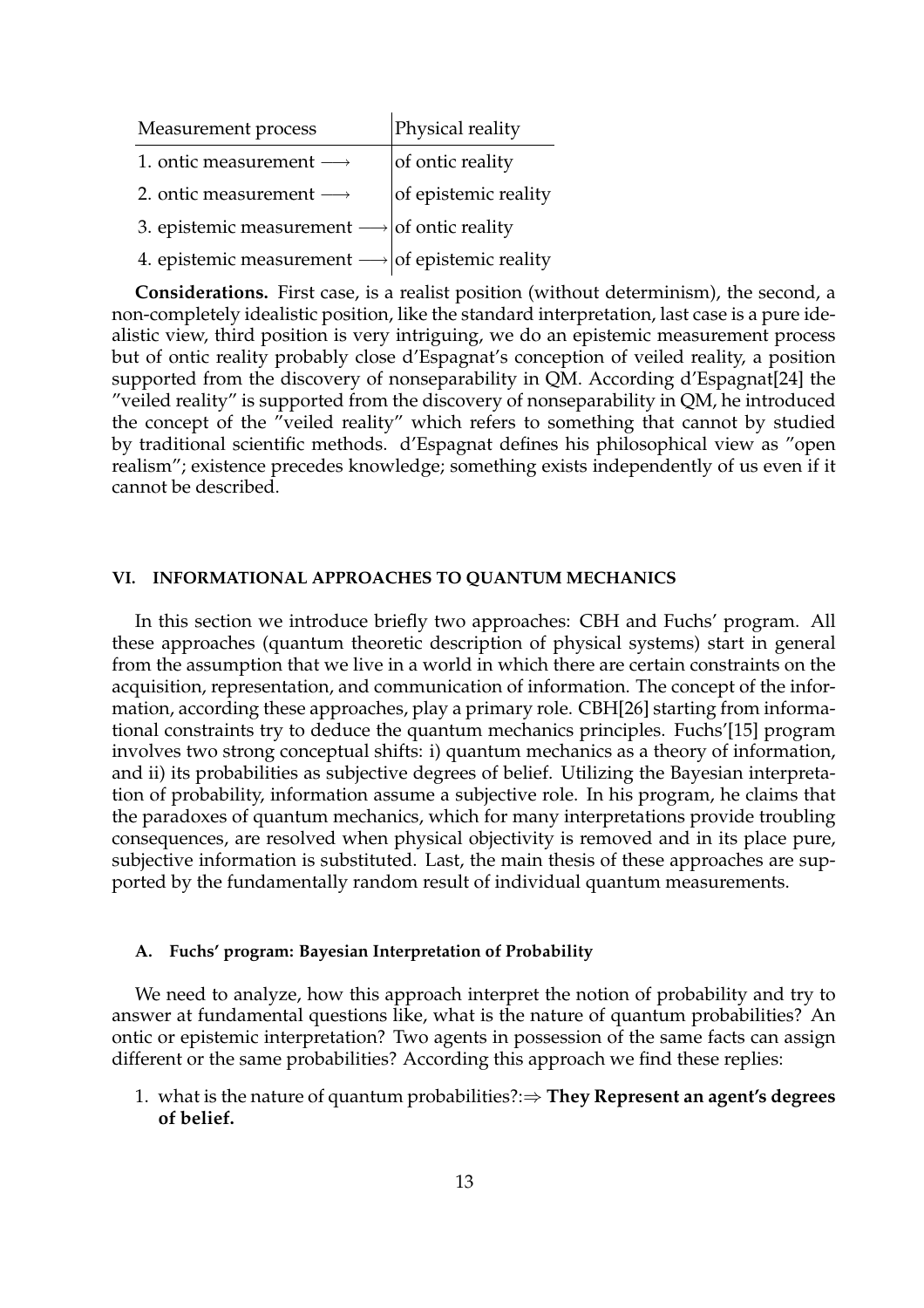| Measurement process                                             | Physical reality     |
|-----------------------------------------------------------------|----------------------|
| 1. ontic measurement $\longrightarrow$                          | of ontic reality     |
| 2. ontic measurement $\longrightarrow$                          | of epistemic reality |
| 3. epistemic measurement $\longrightarrow$ of ontic reality     |                      |
| 4. epistemic measurement $\longrightarrow$ of epistemic reality |                      |

**Considerations.** First case, is a realist position (without determinism), the second, a non-completely idealistic position, like the standard interpretation, last case is a pure idealistic view, third position is very intriguing, we do an epistemic measurement process but of ontic reality probably close d'Espagnat's conception of veiled reality, a position supported from the discovery of nonseparability in QM. According d'Espagnat[24] the "veiled reality" is supported from the discovery of nonseparability in QM, he introduced the concept of the "veiled reality" which refers to something that cannot by studied by traditional scientific methods. d'Espagnat defines his philosophical view as "open realism"; existence precedes knowledge; something exists independently of us even if it cannot be described.

# **VI. INFORMATIONAL APPROACHES TO QUANTUM MECHANICS**

In this section we introduce briefly two approaches: CBH and Fuchs' program. All these approaches (quantum theoretic description of physical systems) start in general from the assumption that we live in a world in which there are certain constraints on the acquisition, representation, and communication of information. The concept of the information, according these approaches, play a primary role. CBH[26] starting from informational constraints try to deduce the quantum mechanics principles. Fuchs'[15] program involves two strong conceptual shifts: i) quantum mechanics as a theory of information, and ii) its probabilities as subjective degrees of belief. Utilizing the Bayesian interpretation of probability, information assume a subjective role. In his program, he claims that the paradoxes of quantum mechanics, which for many interpretations provide troubling consequences, are resolved when physical objectivity is removed and in its place pure, subjective information is substituted. Last, the main thesis of these approaches are supported by the fundamentally random result of individual quantum measurements.

### **A. Fuchs' program: Bayesian Interpretation of Probability**

We need to analyze, how this approach interpret the notion of probability and try to answer at fundamental questions like, what is the nature of quantum probabilities? An ontic or epistemic interpretation? Two agents in possession of the same facts can assign different or the same probabilities? According this approach we find these replies:

1. what is the nature of quantum probabilities?:⇒ **They Represent an agent's degrees of belief.**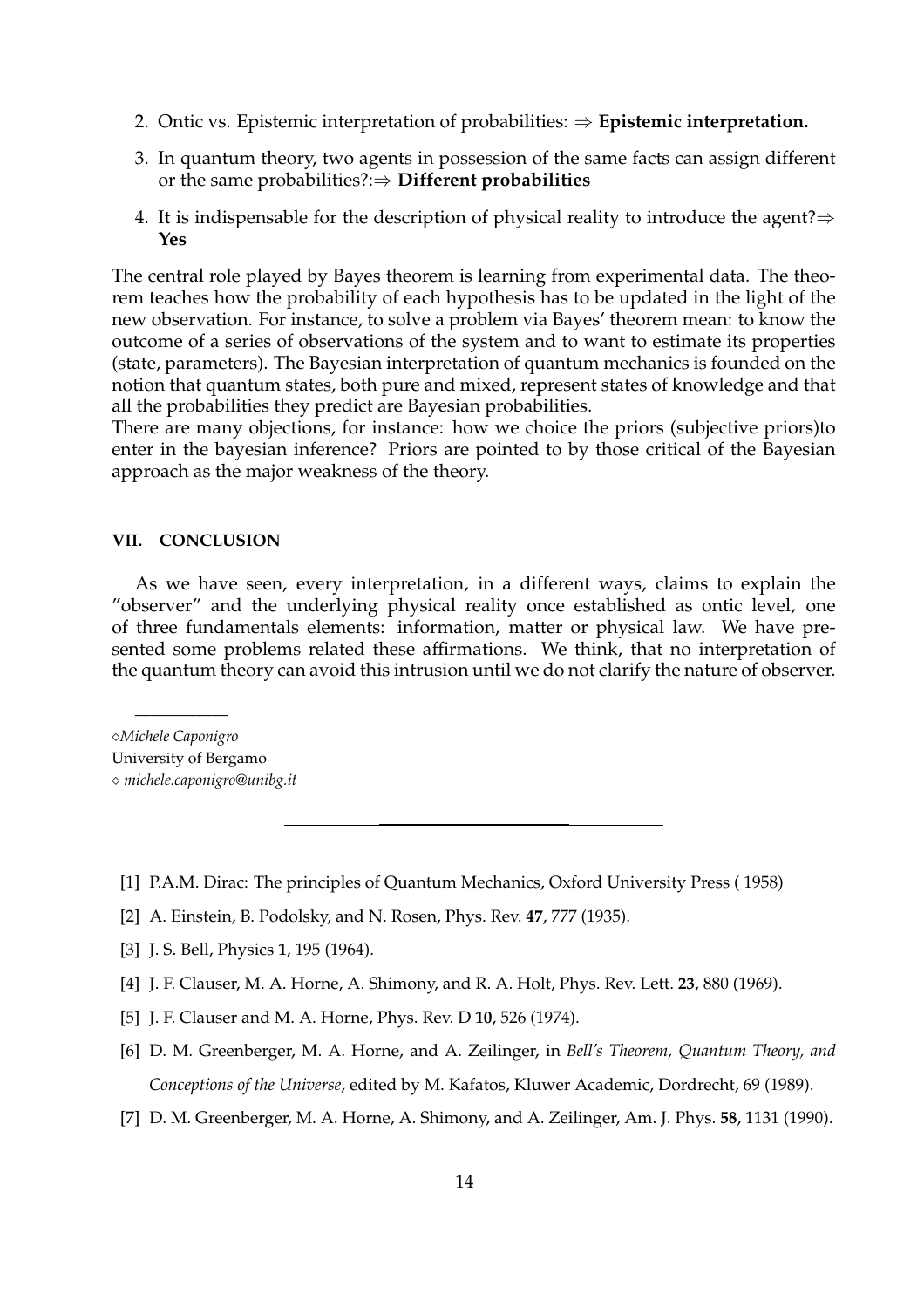- 2. Ontic vs. Epistemic interpretation of probabilities: ⇒ **Epistemic interpretation.**
- 3. In quantum theory, two agents in possession of the same facts can assign different or the same probabilities?:⇒ **Different probabilities**
- 4. It is indispensable for the description of physical reality to introduce the agent? $\Rightarrow$ **Yes**

The central role played by Bayes theorem is learning from experimental data. The theorem teaches how the probability of each hypothesis has to be updated in the light of the new observation. For instance, to solve a problem via Bayes' theorem mean: to know the outcome of a series of observations of the system and to want to estimate its properties (state, parameters). The Bayesian interpretation of quantum mechanics is founded on the notion that quantum states, both pure and mixed, represent states of knowledge and that all the probabilities they predict are Bayesian probabilities.

There are many objections, for instance: how we choice the priors (subjective priors)to enter in the bayesian inference? Priors are pointed to by those critical of the Bayesian approach as the major weakness of the theory.

# **VII. CONCLUSION**

As we have seen, every interpretation, in a different ways, claims to explain the "observer" and the underlying physical reality once established as ontic level, one of three fundamentals elements: information, matter or physical law. We have presented some problems related these affirmations. We think, that no interpretation of the quantum theory can avoid this intrusion until we do not clarify the nature of observer.

¦*Michele Caponigro* University of Bergamo ¦ *michele.caponigro@unibg.it*

——————

- [1] P.A.M. Dirac: The principles of Quantum Mechanics, Oxford University Press ( 1958)
- [2] A. Einstein, B. Podolsky, and N. Rosen, Phys. Rev. **47**, 777 (1935).
- [3] J. S. Bell, Physics **1**, 195 (1964).
- [4] J. F. Clauser, M. A. Horne, A. Shimony, and R. A. Holt, Phys. Rev. Lett. **23**, 880 (1969).
- [5] J. F. Clauser and M. A. Horne, Phys. Rev. D **10**, 526 (1974).
- [6] D. M. Greenberger, M. A. Horne, and A. Zeilinger, in *Bell's Theorem, Quantum Theory, and Conceptions of the Universe*, edited by M. Kafatos, Kluwer Academic, Dordrecht, 69 (1989).
- [7] D. M. Greenberger, M. A. Horne, A. Shimony, and A. Zeilinger, Am. J. Phys. **58**, 1131 (1990).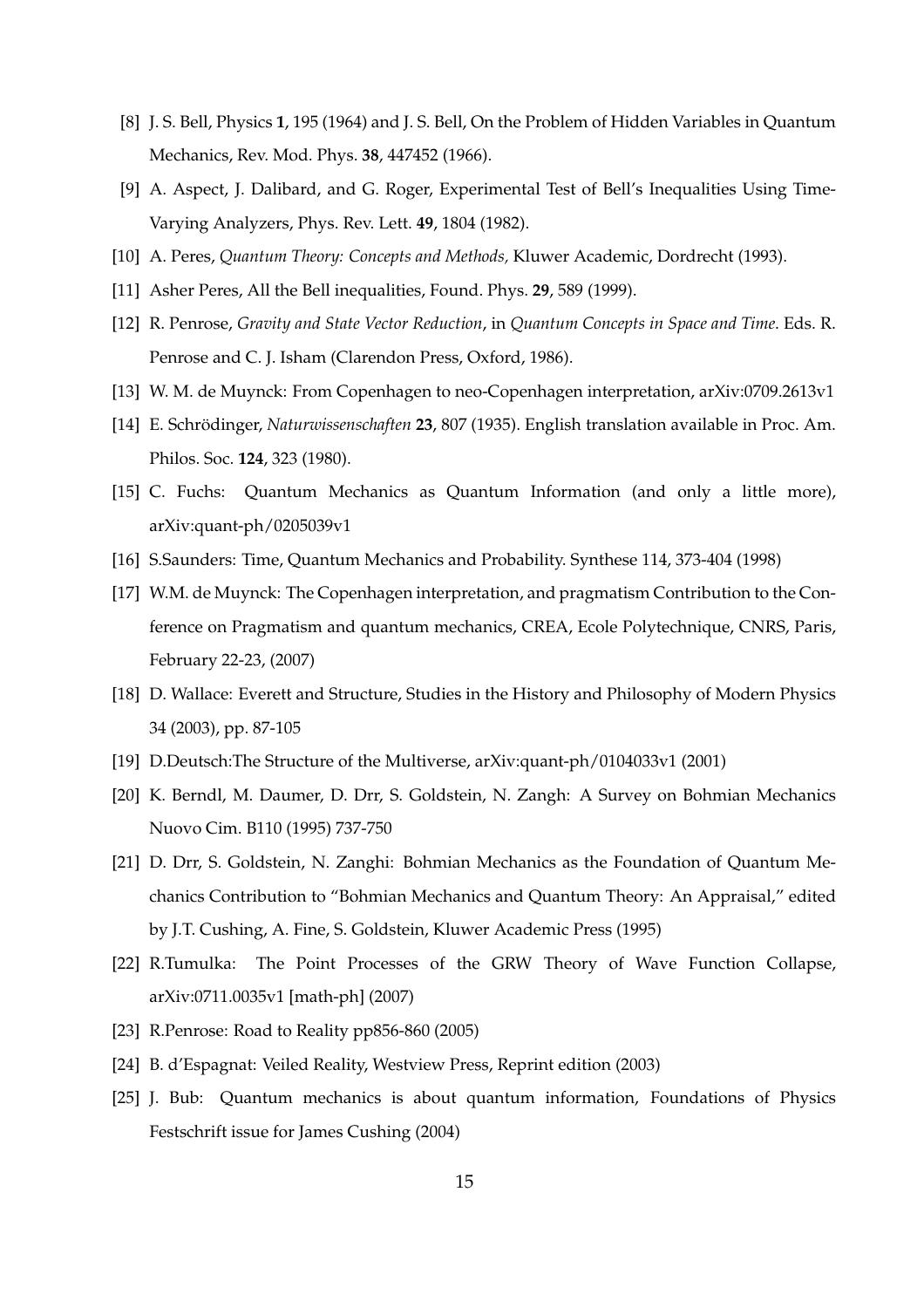- [8] J. S. Bell, Physics **1**, 195 (1964) and J. S. Bell, On the Problem of Hidden Variables in Quantum Mechanics, Rev. Mod. Phys. **38**, 447452 (1966).
- [9] A. Aspect, J. Dalibard, and G. Roger, Experimental Test of Bell's Inequalities Using Time-Varying Analyzers, Phys. Rev. Lett. **49**, 1804 (1982).
- [10] A. Peres, *Quantum Theory: Concepts and Methods,* Kluwer Academic, Dordrecht (1993).
- [11] Asher Peres, All the Bell inequalities, Found. Phys. **29**, 589 (1999).
- [12] R. Penrose, *Gravity and State Vector Reduction*, in *Quantum Concepts in Space and Time*. Eds. R. Penrose and C. J. Isham (Clarendon Press, Oxford, 1986).
- [13] W. M. de Muynck: From Copenhagen to neo-Copenhagen interpretation, arXiv:0709.2613v1
- [14] E. Schrödinger, Naturwissenschaften 23, 807 (1935). English translation available in Proc. Am. Philos. Soc. **124**, 323 (1980).
- [15] C. Fuchs: Quantum Mechanics as Quantum Information (and only a little more), arXiv:quant-ph/0205039v1
- [16] S.Saunders: Time, Quantum Mechanics and Probability. Synthese 114, 373-404 (1998)
- [17] W.M. de Muynck: The Copenhagen interpretation, and pragmatism Contribution to the Conference on Pragmatism and quantum mechanics, CREA, Ecole Polytechnique, CNRS, Paris, February 22-23, (2007)
- [18] D. Wallace: Everett and Structure, Studies in the History and Philosophy of Modern Physics 34 (2003), pp. 87-105
- [19] D.Deutsch:The Structure of the Multiverse, arXiv:quant-ph/0104033v1 (2001)
- [20] K. Berndl, M. Daumer, D. Drr, S. Goldstein, N. Zangh: A Survey on Bohmian Mechanics Nuovo Cim. B110 (1995) 737-750
- [21] D. Drr, S. Goldstein, N. Zanghi: Bohmian Mechanics as the Foundation of Quantum Mechanics Contribution to "Bohmian Mechanics and Quantum Theory: An Appraisal," edited by J.T. Cushing, A. Fine, S. Goldstein, Kluwer Academic Press (1995)
- [22] R.Tumulka: The Point Processes of the GRW Theory of Wave Function Collapse, arXiv:0711.0035v1 [math-ph] (2007)
- [23] R.Penrose: Road to Reality pp856-860 (2005)
- [24] B. d'Espagnat: Veiled Reality, Westview Press, Reprint edition (2003)
- [25] J. Bub: Quantum mechanics is about quantum information, Foundations of Physics Festschrift issue for James Cushing (2004)